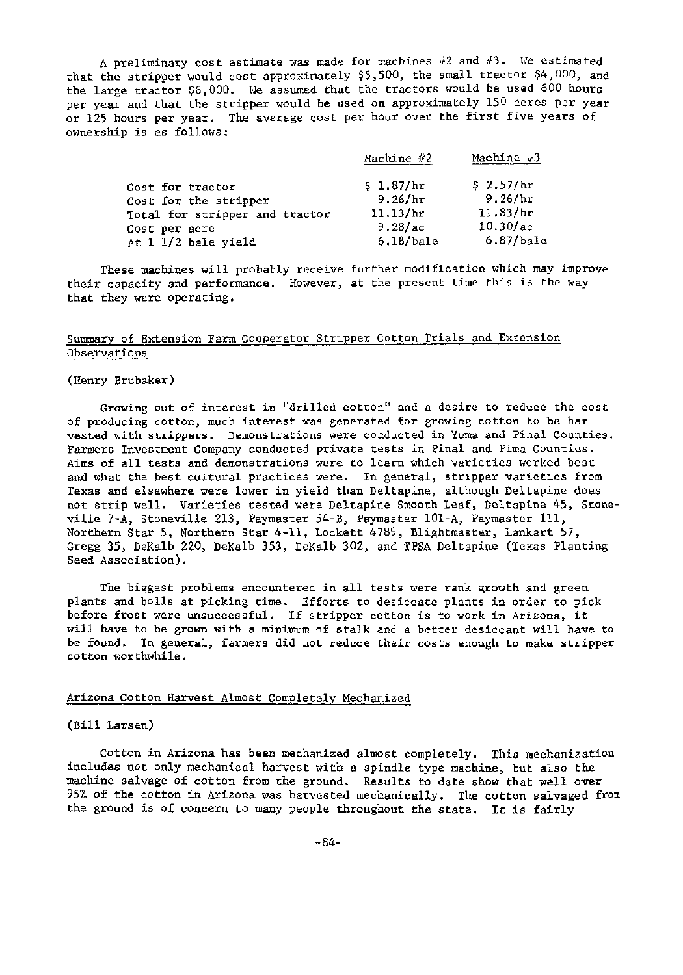A preliminary cost estimate was made for machines  $/2$  and  $/3$ . We estimated that the stripper would cost approximately \$5,500, the small tractor \$4,000, and the large tractor \$6,000. We assumed that the tractors would be used 600 hours per year and that the stripper would be used on approximately 150 acres per year or 125 hours per year. The average cost per hour over the first five years of ownership is as follows:

|                                                         | Machine $#2$         | Machine $\sqrt{3}$    |
|---------------------------------------------------------|----------------------|-----------------------|
| Cost for tractor                                        | \$1.87/hr            | \$2.57/hr<br>9.26/hr  |
| Cost for the stripper<br>Total for stripper and tractor | 9.26/hr<br>11.13/hr  | 11.83/hr              |
| Cost per acre<br>At $1\ 1/2$ bale yield                 | 9.28/ac<br>6.18/bale | 10.30/ac<br>6.87/bale |
|                                                         |                      |                       |

These machines will probably receive further modification which may improve their capacity and performance. However, at the present time this is the way that they were operating.

## Summary of Extension Farm Cooperator Stripper Cotton Trials and Extension Observations

(Henry Brubaker)

Growing out of interest in "drilled cotton" and a desire to reduce the cost of producing cotton, much interest was generated for growing cotton to be harvested with strippers. Demonstrations were conducted in Yuma and Pinal Counties. Farmers Investment Company conducted private tests in Pinal and Pima Counties. Aims of all tests and demonstrations were to learn which varieties worked best and what the best cultural practices were. In general, stripper varieties from Texas and elsewhere were lower in yield than Deltapine, although Deltapinc does not strip well. Varieties tested were Deltapine Smooth Leaf, Dc1tapine 45, Stoneville *7-A,* Stoneville 213, Paymaster 54-B, Paymaster 101-A, Paymaster Ill, Northern Star 5, Northern Star 4-11, Lockett 4789, Blightmaster, Lankart 57, Gregg 35, DeKalb 220, DeKalb 353, DeKalb 302, and TPSA Deltapine (Texas Planting Seed Association).

The biggest problems encountered in all tests were rank growth and green plants and bolls at picking time. Efforts to desiccate plants in order to pick before frost were unsuccessful. If stripper cotton is to work in Arizona, it will have to be grown with a minimum of stalk and a better desiccant will have to be found. In general, farmers did not reduce their costs enough to make stripper cotton worthwhile.

## Arizona Cotton Harvest Almost Completely Mechanized

## (Bill Larsen)

Cotton in Arizona has been mechanized almost completely. This mechanization includes not only mechanical harvest with a spindle type machine, but also the machine salvage of cotton from the ground. Results to date show that well over 95% of the cotton in Arizona was harvested mechanically. The cotton salvaged from the ground is of concern to many people throughout the state. It is fairly